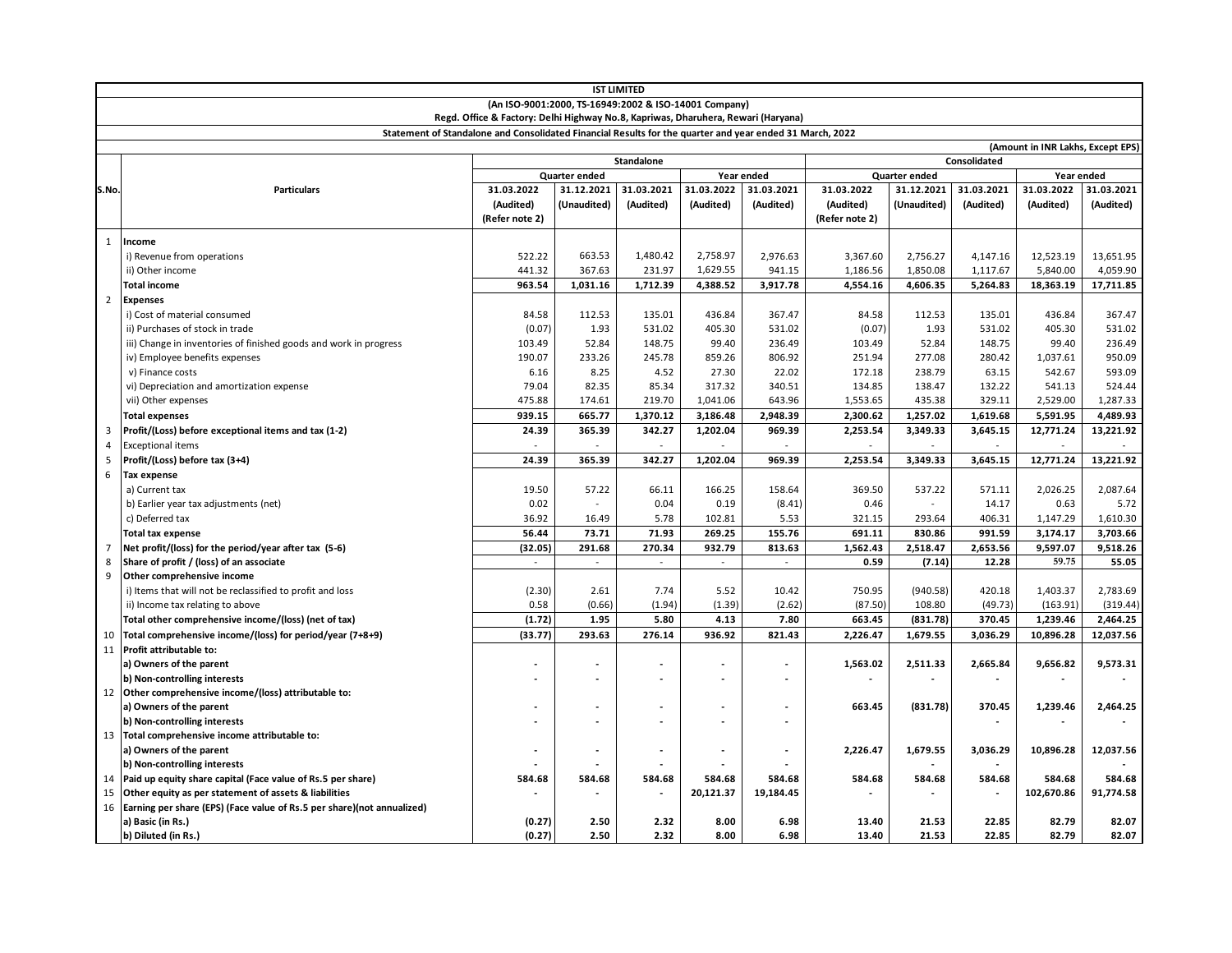|                | <b>IST LIMITED</b>                                                                                       |                             |             |                |            |                |                |             |                          |                                   |            |
|----------------|----------------------------------------------------------------------------------------------------------|-----------------------------|-------------|----------------|------------|----------------|----------------|-------------|--------------------------|-----------------------------------|------------|
|                | (An ISO-9001:2000, TS-16949:2002 & ISO-14001 Company)                                                    |                             |             |                |            |                |                |             |                          |                                   |            |
|                | Regd. Office & Factory: Delhi Highway No.8, Kapriwas, Dharuhera, Rewari (Haryana)                        |                             |             |                |            |                |                |             |                          |                                   |            |
|                | Statement of Standalone and Consolidated Financial Results for the quarter and year ended 31 March, 2022 |                             |             |                |            |                |                |             |                          |                                   |            |
|                |                                                                                                          |                             |             |                |            |                |                |             |                          | (Amount in INR Lakhs, Except EPS) |            |
|                |                                                                                                          | <b>Standalone</b>           |             |                |            | Consolidated   |                |             |                          |                                   |            |
|                |                                                                                                          | Quarter ended<br>Year ended |             |                |            | Quarter ended  |                |             | Year ended               |                                   |            |
| S.No.          | <b>Particulars</b>                                                                                       | 31.03.2022                  | 31.12.2021  | 31.03.2021     | 31.03.2022 | 31.03.2021     | 31.03.2022     | 31.12.2021  | 31.03.2021               | 31.03.2022                        | 31.03.2021 |
|                |                                                                                                          | (Audited)                   | (Unaudited) | (Audited)      | (Audited)  | (Audited)      | (Audited)      | (Unaudited) | (Audited)                | (Audited)                         | (Audited)  |
|                |                                                                                                          | (Refer note 2)              |             |                |            |                | (Refer note 2) |             |                          |                                   |            |
| 1              | Income                                                                                                   |                             |             |                |            |                |                |             |                          |                                   |            |
|                | i) Revenue from operations                                                                               | 522.22                      | 663.53      | 1,480.42       | 2,758.97   | 2,976.63       | 3,367.60       | 2,756.27    | 4,147.16                 | 12,523.19                         | 13,651.95  |
|                | ii) Other income                                                                                         | 441.32                      | 367.63      | 231.97         | 1,629.55   | 941.15         | 1,186.56       | 1,850.08    | 1,117.67                 | 5.840.00                          | 4,059.90   |
|                | <b>Total income</b>                                                                                      | 963.54                      | 1,031.16    | 1,712.39       | 4,388.52   | 3,917.78       | 4,554.16       | 4,606.35    | 5,264.83                 | 18,363.19                         | 17,711.85  |
| $\overline{2}$ | <b>Expenses</b>                                                                                          |                             |             |                |            |                |                |             |                          |                                   |            |
|                | i) Cost of material consumed                                                                             | 84.58                       | 112.53      | 135.01         | 436.84     | 367.47         | 84.58          | 112.53      | 135.01                   | 436.84                            | 367.47     |
|                | ii) Purchases of stock in trade                                                                          | (0.07)                      | 1.93        | 531.02         | 405.30     | 531.02         | (0.07)         | 1.93        | 531.02                   | 405.30                            | 531.02     |
|                | iii) Change in inventories of finished goods and work in progress                                        | 103.49                      | 52.84       | 148.75         | 99.40      | 236.49         | 103.49         | 52.84       | 148.75                   | 99.40                             | 236.49     |
|                | iv) Employee benefits expenses                                                                           | 190.07                      | 233.26      | 245.78         | 859.26     | 806.92         | 251.94         | 277.08      | 280.42                   | 1,037.61                          | 950.09     |
|                | v) Finance costs                                                                                         | 6.16                        | 8.25        | 4.52           | 27.30      | 22.02          | 172.18         | 238.79      | 63.15                    | 542.67                            | 593.09     |
|                | vi) Depreciation and amortization expense                                                                | 79.04                       | 82.35       | 85.34          | 317.32     | 340.51         | 134.85         | 138.47      | 132.22                   | 541.13                            | 524.44     |
|                | vii) Other expenses                                                                                      | 475.88                      | 174.61      | 219.70         | 1,041.06   | 643.96         | 1,553.65       | 435.38      | 329.11                   | 2,529.00                          | 1,287.33   |
|                | <b>Total expenses</b>                                                                                    | 939.15                      | 665.77      | 1,370.12       | 3,186.48   | 2,948.39       | 2,300.62       | 1,257.02    | 1,619.68                 | 5,591.95                          | 4,489.93   |
| 3              | Profit/(Loss) before exceptional items and tax (1-2)                                                     | 24.39                       | 365.39      | 342.27         | 1,202.04   | 969.39         | 2,253.54       | 3,349.33    | 3,645.15                 | 12,771.24                         | 13,221.92  |
| $\overline{4}$ | <b>Exceptional items</b>                                                                                 |                             |             |                |            |                |                |             |                          |                                   |            |
| 5              | Profit/(Loss) before tax (3+4)                                                                           | 24.39                       | 365.39      | 342.27         | 1,202.04   | 969.39         | 2,253.54       | 3,349.33    | 3,645.15                 | 12,771.24                         | 13,221.92  |
| 6              | <b>Tax expense</b>                                                                                       |                             |             |                |            |                |                |             |                          |                                   |            |
|                | a) Current tax                                                                                           | 19.50                       | 57.22       | 66.11          | 166.25     | 158.64         | 369.50         | 537.22      | 571.11                   | 2,026.25                          | 2,087.64   |
|                | b) Earlier year tax adjustments (net)                                                                    | 0.02                        |             | 0.04           | 0.19       | (8.41)         | 0.46           |             | 14.17                    | 0.63                              | 5.72       |
|                | c) Deferred tax                                                                                          | 36.92                       | 16.49       | 5.78           | 102.81     | 5.53           | 321.15         | 293.64      | 406.31                   | 1,147.29                          | 1,610.30   |
|                | <b>Total tax expense</b>                                                                                 | 56.44                       | 73.71       | 71.93          | 269.25     | 155.76         | 691.11         | 830.86      | 991.59                   | 3,174.17                          | 3,703.66   |
| $\overline{7}$ | Net profit/(loss) for the period/year after tax (5-6)                                                    | (32.05)                     | 291.68      | 270.34         | 932.79     | 813.63         | 1,562.43       | 2,518.47    | 2,653.56                 | 9,597.07                          | 9,518.26   |
| 8              | Share of profit / (loss) of an associate                                                                 | $\sim$                      |             | $\overline{a}$ |            |                | 0.59           | (7.14)      | 12.28                    | 59.75                             | 55.05      |
| 9              | Other comprehensive income                                                                               |                             |             |                |            |                |                |             |                          |                                   |            |
|                | i) Items that will not be reclassified to profit and loss                                                | (2.30)                      | 2.61        | 7.74           | 5.52       | 10.42          | 750.95         | (940.58)    | 420.18                   | 1,403.37                          | 2,783.69   |
|                | ii) Income tax relating to above                                                                         | 0.58                        | (0.66)      | (1.94)         | (1.39)     | (2.62)         | (87.50)        | 108.80      | (49.73)                  | (163.91)                          | (319.44)   |
|                | Total other comprehensive income/(loss) (net of tax)                                                     | (1.72)                      | 1.95        | 5.80           | 4.13       | 7.80           | 663.45         | (831.78)    | 370.45                   | 1,239.46                          | 2,464.25   |
| 10             | Total comprehensive income/(loss) for period/year (7+8+9)                                                | (33.77)                     | 293.63      | 276.14         | 936.92     | 821.43         | 2,226.47       | 1,679.55    | 3,036.29                 | 10,896.28                         | 12,037.56  |
|                | 11 Profit attributable to:                                                                               |                             |             |                |            |                |                |             |                          |                                   |            |
|                | a) Owners of the parent                                                                                  |                             |             | ٠              |            | $\sim$         | 1,563.02       | 2,511.33    | 2,665.84                 | 9,656.82                          | 9,573.31   |
|                | b) Non-controlling interests                                                                             |                             |             | ÷.             |            | $\overline{a}$ | $\sim$         |             | $\overline{\phantom{a}}$ |                                   |            |
|                | 12 Other comprehensive income/(loss) attributable to:                                                    |                             |             |                |            |                |                |             |                          |                                   |            |
|                | a) Owners of the parent                                                                                  |                             |             | ٠              |            |                | 663.45         | (831.78)    | 370.45                   | 1,239.46                          | 2,464.25   |
|                | b) Non-controlling interests                                                                             |                             |             |                |            |                |                |             |                          |                                   |            |
|                | 13 Total comprehensive income attributable to:                                                           |                             |             |                |            |                |                |             |                          |                                   |            |
|                | a) Owners of the parent                                                                                  |                             |             | $\overline{a}$ |            | $\blacksquare$ | 2,226.47       | 1,679.55    | 3,036.29                 | 10,896.28                         | 12,037.56  |
| 14             | b) Non-controlling interests<br>Paid up equity share capital (Face value of Rs.5 per share)              | 584.68                      | 584.68      | 584.68         | 584.68     | 584.68         | 584.68         | 584.68      | 584.68                   | 584.68                            | 584.68     |
| 15             | Other equity as per statement of assets & liabilities                                                    |                             |             |                | 20,121.37  | 19,184.45      |                |             |                          | 102,670.86                        | 91,774.58  |
|                | 16 Earning per share (EPS) (Face value of Rs.5 per share)(not annualized)                                |                             |             |                |            |                |                |             |                          |                                   |            |
|                | a) Basic (in Rs.)                                                                                        | (0.27)                      | 2.50        | 2.32           | 8.00       | 6.98           | 13.40          | 21.53       | 22.85                    | 82.79                             | 82.07      |
|                | b) Diluted (in Rs.)                                                                                      | (0.27)                      | 2.50        | 2.32           | 8.00       | 6.98           | 13.40          | 21.53       | 22.85                    | 82.79                             | 82.07      |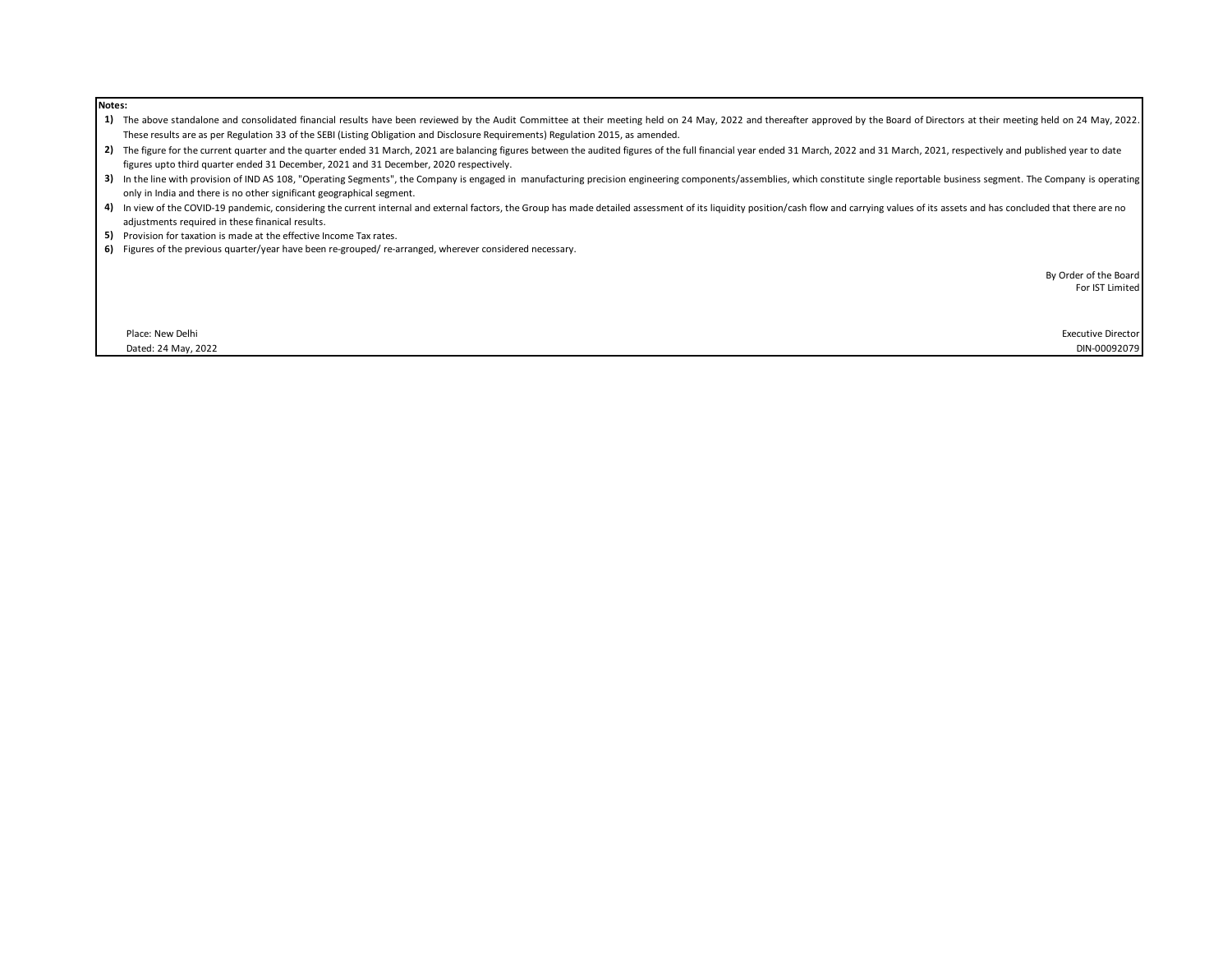| . |                                                                                                                                                                                                                                                                                                         |
|---|---------------------------------------------------------------------------------------------------------------------------------------------------------------------------------------------------------------------------------------------------------------------------------------------------------|
|   | 1) The above standalone and consolidated financial results have been reviewed by the Audit Committee at their meeting held on 24 May, 2022 and thereafter approved by the Board of Directors at their meeting held on 24 May,                                                                           |
|   | These results are as per Regulation 33 of the SEBI (Listing Obligation and Disclosure Requirements) Regulation 2015, as amended.                                                                                                                                                                        |
|   | 2) The figure for the current quarter and the quarter ended 31 March, 2021 are balancing figures between the audited figures of the full financial year ended 31 March, 2022 and 31 March, 2021, respectively and published ye                                                                          |
|   | figures upto third quarter ended 31 December, 2021 and 31 December, 2020 respectively.                                                                                                                                                                                                                  |
|   | 3) In the line with provision of IND AS 108, "Operating Segments", the Company is engaged in manufacturing precision engineering components/assemblies, which constitute single reportable business segment. The Company is op<br>only in India and there is no other significant geographical segment. |
|   | 4) In view of the COVID-19 pandemic, considering the current internal and external factors, the Group has made detailed assessment of its liquidity position/cash flow and carrying values of its assets and has concluded tha                                                                          |
|   | adjustments required in these finanical results.                                                                                                                                                                                                                                                        |
|   | 5) Provision for taxation is made at the effective Income Tax rates.                                                                                                                                                                                                                                    |
|   | 6) Figures of the previous quarter/year have been re-grouped/re-arranged, wherever considered necessary.                                                                                                                                                                                                |
|   | By Order of the Board                                                                                                                                                                                                                                                                                   |
|   | For IST Limited                                                                                                                                                                                                                                                                                         |
|   |                                                                                                                                                                                                                                                                                                         |
|   |                                                                                                                                                                                                                                                                                                         |
|   | <b>Executive Director</b><br>Place: New Delhi                                                                                                                                                                                                                                                           |
|   | Dated: 24 May, 2022<br>DIN-00092079                                                                                                                                                                                                                                                                     |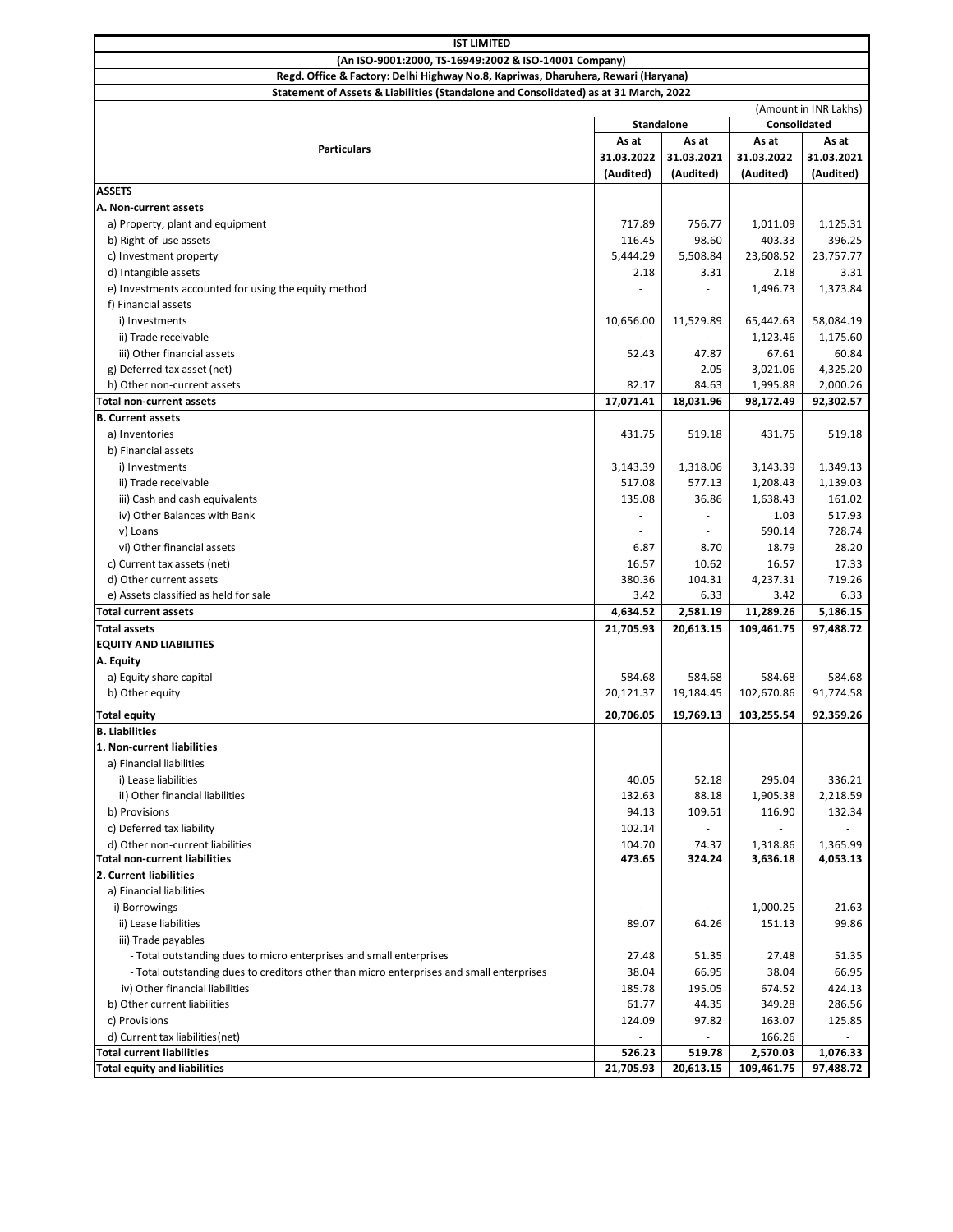| <b>IST LIMITED</b>                                                                       |            |            |                |                       |  |  |
|------------------------------------------------------------------------------------------|------------|------------|----------------|-----------------------|--|--|
| (An ISO-9001:2000, TS-16949:2002 & ISO-14001 Company)                                    |            |            |                |                       |  |  |
| Regd. Office & Factory: Delhi Highway No.8, Kapriwas, Dharuhera, Rewari (Haryana)        |            |            |                |                       |  |  |
| Statement of Assets & Liabilities (Standalone and Consolidated) as at 31 March, 2022     |            |            |                |                       |  |  |
|                                                                                          |            |            |                | (Amount in INR Lakhs) |  |  |
|                                                                                          | Standalone |            | Consolidated   |                       |  |  |
| <b>Particulars</b>                                                                       | As at      | As at      | As at<br>As at |                       |  |  |
|                                                                                          | 31.03.2022 | 31.03.2021 | 31.03.2022     | 31.03.2021            |  |  |
|                                                                                          | (Audited)  | (Audited)  | (Audited)      | (Audited)             |  |  |
| ASSETS                                                                                   |            |            |                |                       |  |  |
| A. Non-current assets                                                                    |            |            |                |                       |  |  |
| a) Property, plant and equipment                                                         | 717.89     | 756.77     | 1,011.09       | 1,125.31              |  |  |
| b) Right-of-use assets                                                                   | 116.45     | 98.60      | 403.33         | 396.25                |  |  |
| c) Investment property                                                                   | 5,444.29   | 5,508.84   | 23,608.52      | 23,757.77             |  |  |
| d) Intangible assets                                                                     | 2.18       | 3.31       | 2.18           | 3.31                  |  |  |
| e) Investments accounted for using the equity method                                     |            |            | 1,496.73       | 1,373.84              |  |  |
| f) Financial assets                                                                      |            |            |                |                       |  |  |
| i) Investments                                                                           | 10,656.00  | 11,529.89  | 65,442.63      | 58,084.19             |  |  |
| ii) Trade receivable                                                                     |            |            | 1,123.46       | 1,175.60              |  |  |
| iii) Other financial assets                                                              | 52.43      | 47.87      | 67.61          | 60.84                 |  |  |
| g) Deferred tax asset (net)                                                              |            | 2.05       | 3,021.06       | 4,325.20              |  |  |
| h) Other non-current assets                                                              | 82.17      | 84.63      | 1,995.88       | 2,000.26              |  |  |
| <b>Total non-current assets</b>                                                          | 17,071.41  | 18,031.96  | 98,172.49      | 92,302.57             |  |  |
| <b>B. Current assets</b>                                                                 |            |            |                |                       |  |  |
| a) Inventories                                                                           | 431.75     | 519.18     | 431.75         | 519.18                |  |  |
| b) Financial assets                                                                      |            |            |                |                       |  |  |
| i) Investments                                                                           | 3,143.39   | 1,318.06   | 3,143.39       | 1,349.13              |  |  |
| ii) Trade receivable                                                                     | 517.08     | 577.13     | 1,208.43       | 1,139.03              |  |  |
| iii) Cash and cash equivalents                                                           | 135.08     | 36.86      | 1,638.43       | 161.02                |  |  |
| iv) Other Balances with Bank                                                             |            |            | 1.03           | 517.93                |  |  |
| v) Loans                                                                                 |            |            | 590.14         | 728.74                |  |  |
| vi) Other financial assets                                                               | 6.87       | 8.70       | 18.79          | 28.20                 |  |  |
| c) Current tax assets (net)                                                              | 16.57      | 10.62      | 16.57          | 17.33                 |  |  |
| d) Other current assets                                                                  | 380.36     | 104.31     | 4,237.31       | 719.26                |  |  |
| e) Assets classified as held for sale                                                    | 3.42       | 6.33       | 3.42           | 6.33                  |  |  |
| <b>Total current assets</b>                                                              | 4,634.52   | 2,581.19   | 11,289.26      | 5,186.15              |  |  |
| <b>Total assets</b>                                                                      | 21,705.93  | 20,613.15  | 109,461.75     | 97,488.72             |  |  |
| <b>EQUITY AND LIABILITIES</b>                                                            |            |            |                |                       |  |  |
| A. Equity                                                                                |            |            |                |                       |  |  |
| a) Equity share capital                                                                  | 584.68     | 584.68     | 584.68         | 584.68                |  |  |
| b) Other equity                                                                          | 20,121.37  | 19,184.45  | 102,670.86     | 91,774.58             |  |  |
| <b>Total equity</b>                                                                      | 20,706.05  | 19,769.13  | 103,255.54     | 92,359.26             |  |  |
| <b>B.</b> Liabilities                                                                    |            |            |                |                       |  |  |
| 1. Non-current liabilities                                                               |            |            |                |                       |  |  |
| a) Financial liabilities                                                                 |            |            |                |                       |  |  |
| i) Lease liabilities                                                                     | 40.05      | 52.18      | 295.04         | 336.21                |  |  |
| il) Other financial liabilities                                                          | 132.63     | 88.18      | 1,905.38       | 2,218.59              |  |  |
| b) Provisions                                                                            | 94.13      | 109.51     | 116.90         | 132.34                |  |  |
| c) Deferred tax liability                                                                | 102.14     | ÷.         |                |                       |  |  |
| d) Other non-current liabilities                                                         | 104.70     | 74.37      | 1,318.86       | 1,365.99              |  |  |
| Total non-current liabilities                                                            | 473.65     | 324.24     | 3,636.18       | 4,053.13              |  |  |
| 2. Current liabilities                                                                   |            |            |                |                       |  |  |
| a) Financial liabilities                                                                 |            |            |                |                       |  |  |
| i) Borrowings                                                                            |            |            | 1,000.25       | 21.63                 |  |  |
| ii) Lease liabilities                                                                    | 89.07      | 64.26      | 151.13         | 99.86                 |  |  |
| iii) Trade payables                                                                      |            |            |                |                       |  |  |
| - Total outstanding dues to micro enterprises and small enterprises                      | 27.48      | 51.35      | 27.48          | 51.35                 |  |  |
| - Total outstanding dues to creditors other than micro enterprises and small enterprises | 38.04      | 66.95      | 38.04          | 66.95                 |  |  |
| iv) Other financial liabilities                                                          | 185.78     | 195.05     | 674.52         | 424.13                |  |  |
| b) Other current liabilities                                                             | 61.77      | 44.35      | 349.28         | 286.56                |  |  |
| c) Provisions                                                                            | 124.09     | 97.82      | 163.07         | 125.85                |  |  |
| d) Current tax liabilities (net)                                                         |            |            | 166.26         |                       |  |  |
| <b>Total current liabilities</b>                                                         | 526.23     | 519.78     | 2,570.03       | 1,076.33              |  |  |
| <b>Total equity and liabilities</b>                                                      | 21,705.93  | 20,613.15  | 109,461.75     | 97,488.72             |  |  |